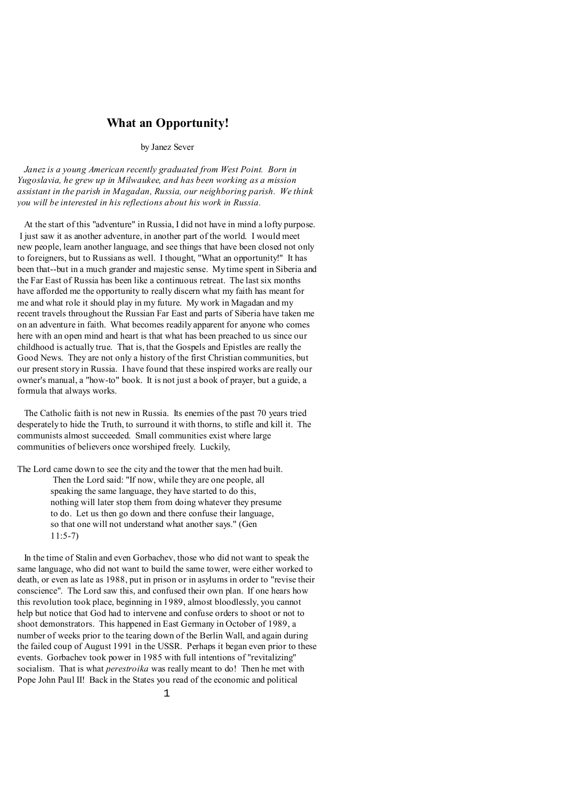## **What an Opportunity!**

#### by Janez Sever

 *Janez is a young American recently graduated from West Point. Born in Yugoslavia, he grew up in Milwaukee, and has been working as a mission assistant in the parish in Magadan, Russia, our neighboring parish. We think you will be interested in his reflections about his work in Russia.*

 At the start of this "adventure" in Russia, I did not have in mind a lofty purpose. I just saw it as another adventure, in another part of the world. I would meet new people, learn another language, and see things that have been closed not only to foreigners, but to Russians as well. I thought, "What an opportunity!" It has been that--but in a much grander and majestic sense. My time spent in Siberia and the Far East of Russia has been like a continuous retreat. The last six months have afforded me the opportunity to really discern what my faith has meant for me and what role it should play in my future. My work in Magadan and my recent travels throughout the Russian Far East and parts of Siberia have taken me on an adventure in faith. What becomes readily apparent for anyone who comes here with an open mind and heart is that what has been preached to us since our childhood is actually true. That is, that the Gospels and Epistles are really the Good News. They are not only a history of the first Christian communities, but our present story in Russia. I have found that these inspired works are really our owner's manual, a "how-to" book. It is not just a book of prayer, but a guide, a formula that always works.

 The Catholic faith is not new in Russia. Its enemies of the past 70 years tried desperately to hide the Truth, to surround it with thorns, to stifle and kill it. The communists almost succeeded. Small communities exist where large communities of believers once worshiped freely. Luckily,

The Lord came down to see the city and the tower that the men had built. Then the Lord said: "If now, while they are one people, all speaking the same language, they have started to do this, nothing will later stop them from doing whatever they presume to do. Let us then go down and there confuse their language, so that one will not understand what another says." (Gen 11:5-7)

 In the time of Stalin and even Gorbachev, those who did not want to speak the same language, who did not want to build the same tower, were either worked to death, or even as late as 1988, put in prison or in asylums in order to "revise their conscience". The Lord saw this, and confused their own plan. If one hears how this revolution took place, beginning in 1989, almost bloodlessly, you cannot help but notice that God had to intervene and confuse orders to shoot or not to shoot demonstrators. This happened in East Germany in October of 1989, a number of weeks prior to the tearing down of the Berlin Wall, and again during the failed coup of August 1991 in the USSR. Perhaps it began even prior to these events. Gorbachev took power in 1985 with full intentions of "revitalizing" socialism. That is what *perestroika* was really meant to do! Then he met with Pope John Paul II! Back in the States you read of the economic and political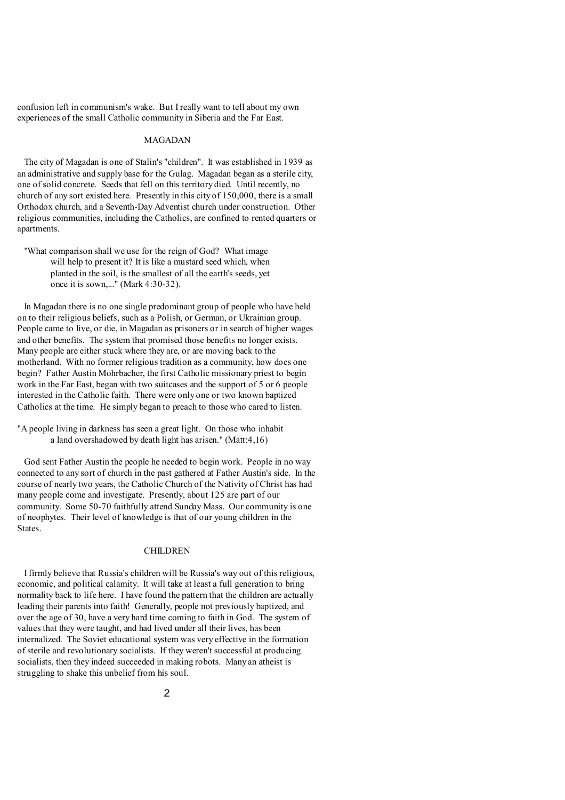confusion left in communism's wake. But I really want to tell about my own experiences of the small Catholic community in Siberia and the Far East.

#### MAGADAN

 The city of Magadan is one of Stalin's "children". It was established in 1939 as an administrative and supply base for the Gulag. Magadan began as a sterile city, one of solid concrete. Seeds that fell on this territory died. Until recently, no church of any sort existed here. Presently in this city of 150,000, there is a small Orthodox church, and a Seventh-Day Adventist church under construction. Other religious communities, including the Catholics, are confined to rented quarters or apartments.

 "What comparison shall we use for the reign of God? What image will help to present it? It is like a mustard seed which, when planted in the soil, is the smallest of all the earth's seeds, yet once it is sown,..." (Mark 4:30-32).

 In Magadan there is no one single predominant group of people who have held on to their religious beliefs, such as a Polish, or German, or Ukrainian group. People came to live, or die, in Magadan as prisoners or in search of higher wages and other benefits. The system that promised those benefits no longer exists. Many people are either stuck where they are, or are moving back to the motherland. With no former religious tradition as a community, how does one begin? Father Austin Mohrbacher, the first Catholic missionary priest to begin work in the Far East, began with two suitcases and the support of 5 or 6 people interested in the Catholic faith. There were only one or two known baptized Catholics at the time. He simply began to preach to those who cared to listen.

"A people living in darkness has seen a great light. On those who inhabit a land overshadowed by death light has arisen." (Matt:4,16)

 God sent Father Austin the people he needed to begin work. People in no way connected to any sort of church in the past gathered at Father Austin's side. In the course of nearly two years, the Catholic Church of the Nativity of Christ has had many people come and investigate. Presently, about 125 are part of our community. Some 50-70 faithfully attend Sunday Mass. Our community is one of neophytes. Their level of knowledge is that of our young children in the States.

### CHILDREN

 I firmly believe that Russia's children will be Russia's way out of this religious, economic, and political calamity. It will take at least a full generation to bring normality back to life here. I have found the pattern that the children are actually leading their parents into faith! Generally, people not previously baptized, and over the age of 30, have a very hard time coming to faith in God. The system of values that they were taught, and had lived under all their lives, has been internalized. The Soviet educational system was very effective in the formation of sterile and revolutionary socialists. If they weren't successful at producing socialists, then they indeed succeeded in making robots. Many an atheist is struggling to shake this unbelief from his soul.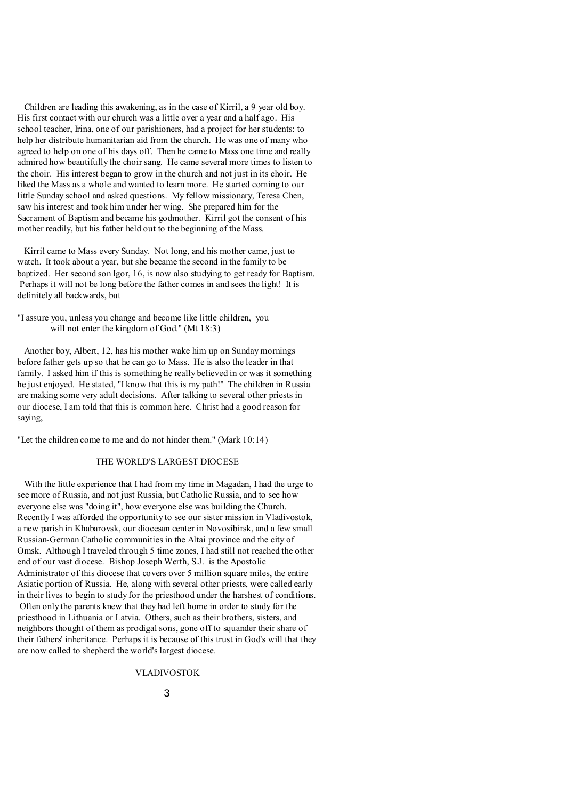Children are leading this awakening, as in the case of Kirril, a 9 year old boy. His first contact with our church was a little over a year and a half ago. His school teacher, Irina, one of our parishioners, had a project for her students: to help her distribute humanitarian aid from the church. He was one of many who agreed to help on one of his days off. Then he came to Mass one time and really admired how beautifully the choir sang. He came several more times to listen to the choir. His interest began to grow in the church and not just in its choir. He liked the Mass as a whole and wanted to learn more. He started coming to our little Sunday school and asked questions. My fellow missionary, Teresa Chen, saw his interest and took him under her wing. She prepared him for the Sacrament of Baptism and became his godmother. Kirril got the consent of his mother readily, but his father held out to the beginning of the Mass.

 Kirril came to Mass every Sunday. Not long, and his mother came, just to watch. It took about a year, but she became the second in the family to be baptized. Her second son Igor, 16, is now also studying to get ready for Baptism. Perhaps it will not be long before the father comes in and sees the light! It is definitely all backwards, but

"I assure you, unless you change and become like little children, you will not enter the kingdom of God." (Mt 18:3)

 Another boy, Albert, 12, has his mother wake him up on Sunday mornings before father gets up so that he can go to Mass. He is also the leader in that family. I asked him if this is something he really believed in or was it something he just enjoyed. He stated, "I know that this is my path!" The children in Russia are making some very adult decisions. After talking to several other priests in our diocese, I am told that this is common here. Christ had a good reason for saying.

"Let the children come to me and do not hinder them." (Mark 10:14)

#### THE WORLD'S LARGEST DIOCESE

 With the little experience that I had from my time in Magadan, I had the urge to see more of Russia, and not just Russia, but Catholic Russia, and to see how everyone else was "doing it", how everyone else was building the Church. Recently I was afforded the opportunity to see our sister mission in Vladivostok, a new parish in Khabarovsk, our diocesan center in Novosibirsk, and a few small Russian-German Catholic communities in the Altai province and the city of Omsk. Although I traveled through 5 time zones, I had still not reached the other end of our vast diocese. Bishop Joseph Werth, S.J. is the Apostolic Administrator of this diocese that covers over 5 million square miles, the entire Asiatic portion of Russia. He, along with several other priests, were called early in their lives to begin to study for the priesthood under the harshest of conditions. Often only the parents knew that they had left home in order to study for the priesthood in Lithuania or Latvia. Others, such as their brothers, sisters, and neighbors thought of them as prodigal sons, gone off to squander their share of their fathers' inheritance. Perhaps it is because of this trust in God's will that they are now called to shepherd the world's largest diocese.

## VLADIVOSTOK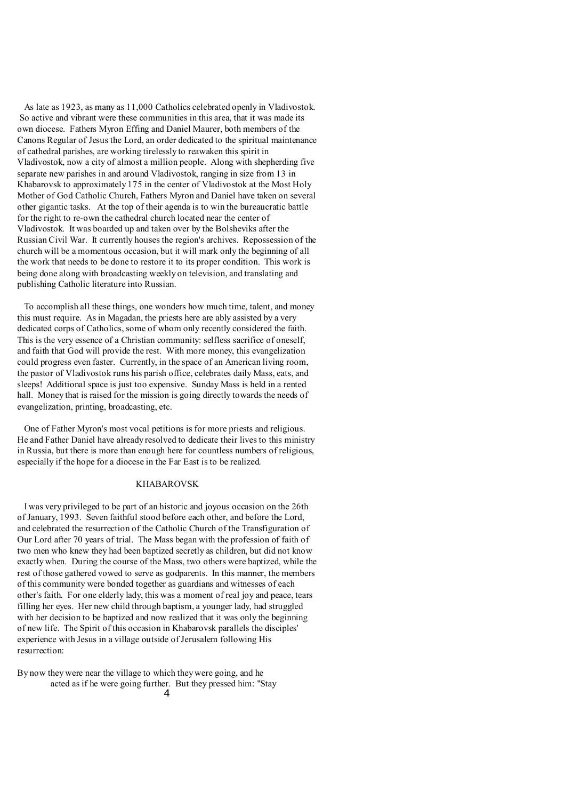As late as 1923, as many as 11,000 Catholics celebrated openly in Vladivostok. So active and vibrant were these communities in this area, that it was made its own diocese. Fathers Myron Effing and Daniel Maurer, both members of the Canons Regular of Jesus the Lord, an order dedicated to the spiritual maintenance of cathedral parishes, are working tirelessly to reawaken this spirit in Vladivostok, now a city of almost a million people. Along with shepherding five separate new parishes in and around Vladivostok, ranging in size from 13 in Khabarovsk to approximately 175 in the center of Vladivostok at the Most Holy Mother of God Catholic Church, Fathers Myron and Daniel have taken on several other gigantic tasks. At the top of their agenda is to win the bureaucratic battle for the right to re-own the cathedral church located near the center of Vladivostok. It was boarded up and taken over by the Bolsheviks after the Russian Civil War. It currently houses the region's archives. Repossession of the church will be a momentous occasion, but it will mark only the beginning of all the work that needs to be done to restore it to its proper condition. This work is being done along with broadcasting weekly on television, and translating and publishing Catholic literature into Russian.

 To accomplish all these things, one wonders how much time, talent, and money this must require. As in Magadan, the priests here are ably assisted by a very dedicated corps of Catholics, some of whom only recently considered the faith. This is the very essence of a Christian community: selfless sacrifice of oneself, and faith that God will provide the rest. With more money, this evangelization could progress even faster. Currently, in the space of an American living room, the pastor of Vladivostok runs his parish office, celebrates daily Mass, eats, and sleeps! Additional space is just too expensive. Sunday Mass is held in a rented hall. Money that is raised for the mission is going directly towards the needs of evangelization, printing, broadcasting, etc.

 One of Father Myron's most vocal petitions is for more priests and religious. He and Father Daniel have already resolved to dedicate their lives to this ministry in Russia, but there is more than enough here for countless numbers of religious, especially if the hope for a diocese in the Far East is to be realized.

### KHABAROVSK

 I was very privileged to be part of an historic and joyous occasion on the 26th of January, 1993. Seven faithful stood before each other, and before the Lord, and celebrated the resurrection of the Catholic Church of the Transfiguration of Our Lord after 70 years of trial. The Mass began with the profession of faith of two men who knew they had been baptized secretly as children, but did not know exactly when. During the course of the Mass, two others were baptized, while the rest of those gathered vowed to serve as godparents. In this manner, the members of this community were bonded together as guardians and witnesses of each other's faith. For one elderly lady, this was a moment of real joy and peace, tears filling her eyes. Her new child through baptism, a younger lady, had struggled with her decision to be baptized and now realized that it was only the beginning of new life. The Spirit of this occasion in Khabarovsk parallels the disciples' experience with Jesus in a village outside of Jerusalem following His resurrection:

By now they were near the village to which they were going, and he acted as if he were going further. But they pressed him: "Stay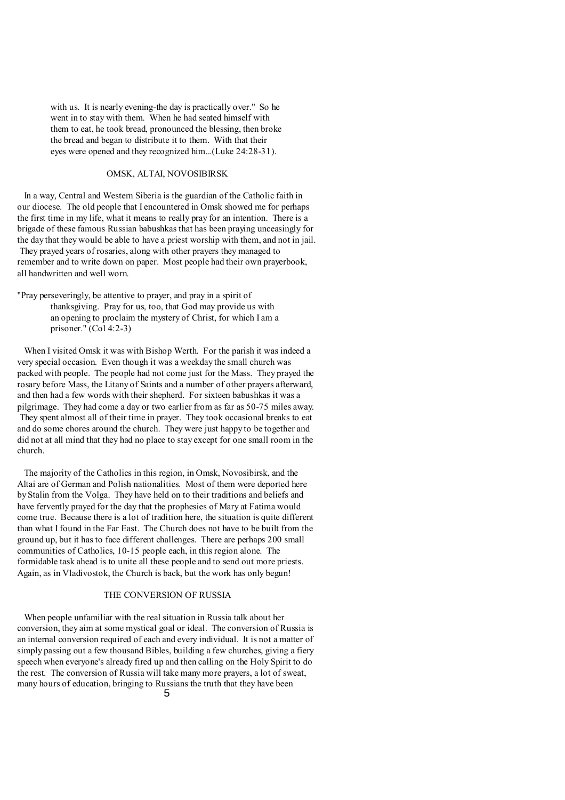with us. It is nearly evening-the day is practically over." So he went in to stay with them. When he had seated himself with them to eat, he took bread, pronounced the blessing, then broke the bread and began to distribute it to them. With that their eyes were opened and they recognized him...(Luke 24:28-31).

### OMSK, ALTAI, NOVOSIBIRSK

 In a way, Central and Western Siberia is the guardian of the Catholic faith in our diocese. The old people that I encountered in Omsk showed me for perhaps the first time in my life, what it means to really pray for an intention. There is a brigade of these famous Russian babushkas that has been praying unceasingly for the day that they would be able to have a priest worship with them, and not in jail. They prayed years of rosaries, along with other prayers they managed to remember and to write down on paper. Most people had their own prayerbook, all handwritten and well worn.

"Pray perseveringly, be attentive to prayer, and pray in a spirit of thanksgiving. Pray for us, too, that God may provide us with an opening to proclaim the mystery of Christ, for which I am a prisoner." (Col 4:2-3)

 When I visited Omsk it was with Bishop Werth. For the parish it was indeed a very special occasion. Even though it was a weekday the small church was packed with people. The people had not come just for the Mass. They prayed the rosary before Mass, the Litany of Saints and a number of other prayers afterward, and then had a few words with their shepherd. For sixteen babushkas it was a pilgrimage. They had come a day or two earlier from as far as 50-75 miles away. They spent almost all of their time in prayer. They took occasional breaks to eat and do some chores around the church. They were just happy to be together and did not at all mind that they had no place to stay except for one small room in the church.

 The majority of the Catholics in this region, in Omsk, Novosibirsk, and the Altai are of German and Polish nationalities. Most of them were deported here by Stalin from the Volga. They have held on to their traditions and beliefs and have fervently prayed for the day that the prophesies of Mary at Fatima would come true. Because there is a lot of tradition here, the situation is quite different than what I found in the Far East. The Church does not have to be built from the ground up, but it has to face different challenges. There are perhaps 200 small communities of Catholics, 10-15 people each, in this region alone. The formidable task ahead is to unite all these people and to send out more priests. Again, as in Vladivostok, the Church is back, but the work has only begun!

#### THE CONVERSION OF RUSSIA

 When people unfamiliar with the real situation in Russia talk about her conversion, they aim at some mystical goal or ideal. The conversion of Russia is an internal conversion required of each and every individual. It is not a matter of simply passing out a few thousand Bibles, building a few churches, giving a fiery speech when everyone's already fired up and then calling on the Holy Spirit to do the rest. The conversion of Russia will take many more prayers, a lot of sweat, many hours of education, bringing to Russians the truth that they have been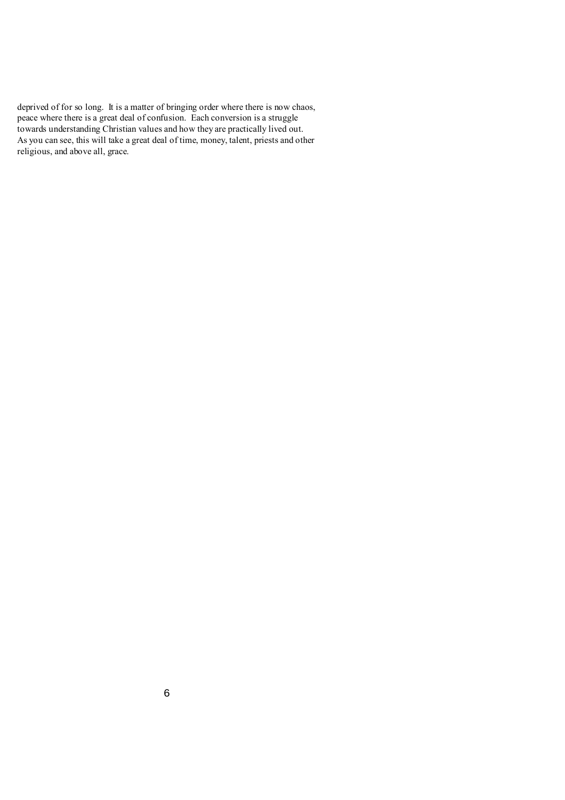deprived of for so long. It is a matter of bringing order where there is now chaos, peace where there is a great deal of confusion. Each conversion is a struggle towards understanding Christian values and how they are practically lived out. As you can see, this will take a great deal of time, money, talent, priests and other religious, and above all, grace.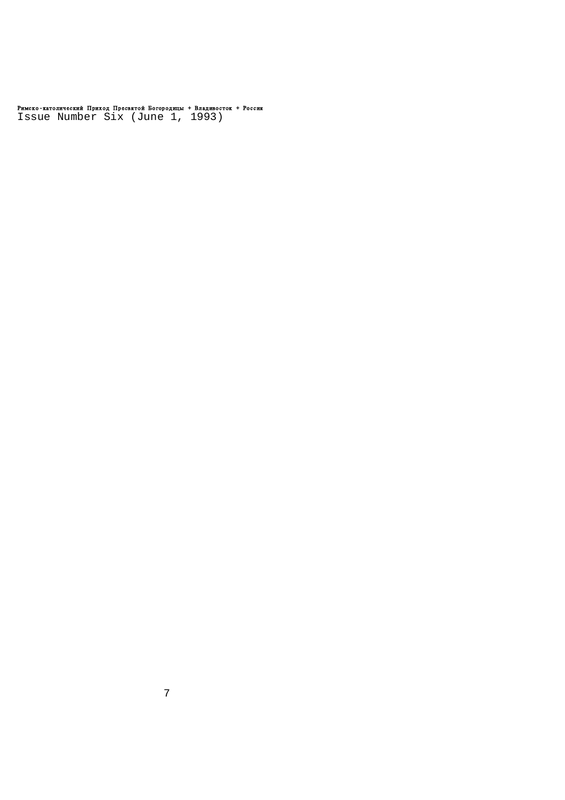Pимско-католический Приход Пресвятой Богородицы + Владивосток + Россия<br>Issue Number Six (June 1, 1993)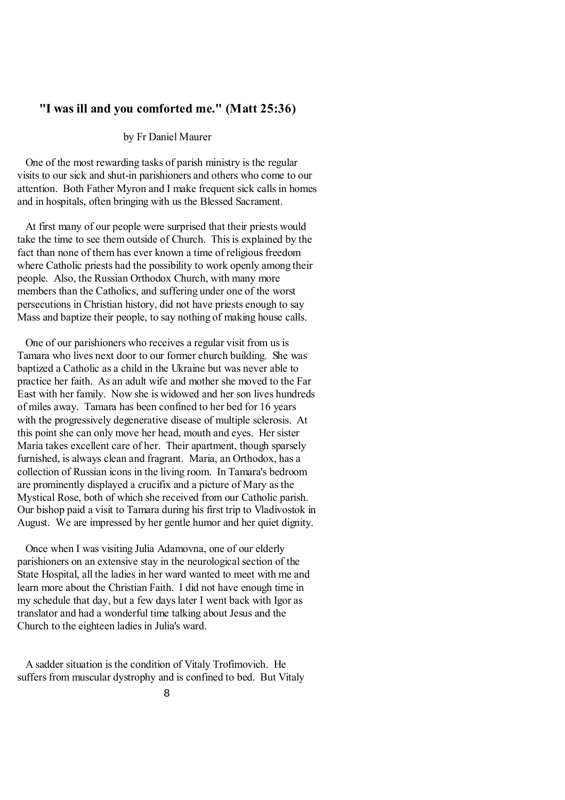## **"I was ill and you comforted me." (Matt 25:36)**

## by Fr Daniel Maurer

 One of the most rewarding tasks of parish ministry is the regular visits to our sick and shut-in parishioners and others who come to our attention. Both Father Myron and I make frequent sick callsin homes and in hospitals, often bringing with us the Blessed Sacrament.

 At first many of our people were surprised that their priests would take the time to see them outside of Church. This is explained by the fact than none of them has ever known a time of religious freedom where Catholic priests had the possibility to work openly among their people. Also, the Russian Orthodox Church, with many more members than the Catholics, and suffering under one of the worst persecutions in Christian history, did not have priests enough to say Mass and baptize their people, to say nothing of making house calls.

One of our parishioners who receives a regular visit from us is Tamara who lives next door to our former church building. She was baptized a Catholic as a child in the Ukraine but was never able to practice her faith. As an adult wife and mother she moved to the Far East with her family. Now she is widowed and her son lives hundreds of miles away. Tamara has been confined to her bed for 16 years with the progressively degenerative disease of multiple sclerosis. At this point she can only move her head, mouth and eyes. Her sister Maria takes excellent care of her. Their apartment, though sparsely furnished, is always clean and fragrant. Maria, an Orthodox, has a collection of Russian icons in the living room. In Tamara's bedroom are prominently displayed a crucifix and a picture of Mary asthe Mystical Rose, both of which she received from our Catholic parish. Our bishop paid a visit to Tamara during his first trip to Vladivostok in August. We are impressed by her gentle humor and her quiet dignity.

 Once when I was visiting Julia Adamovna, one of our elderly parishioners on an extensive stay in the neurological section of the State Hospital, all the ladies in her ward wanted to meet with me and learn more about the Christian Faith. I did not have enough time in my schedule that day, but a few dayslater I went back with Igor as translator and had a wonderful time talking about Jesus and the Church to the eighteen ladiesin Julia's ward.

 A sadder situation isthe condition of Vitaly Trofimovich. He suffers from muscular dystrophy and is confined to bed. But Vitaly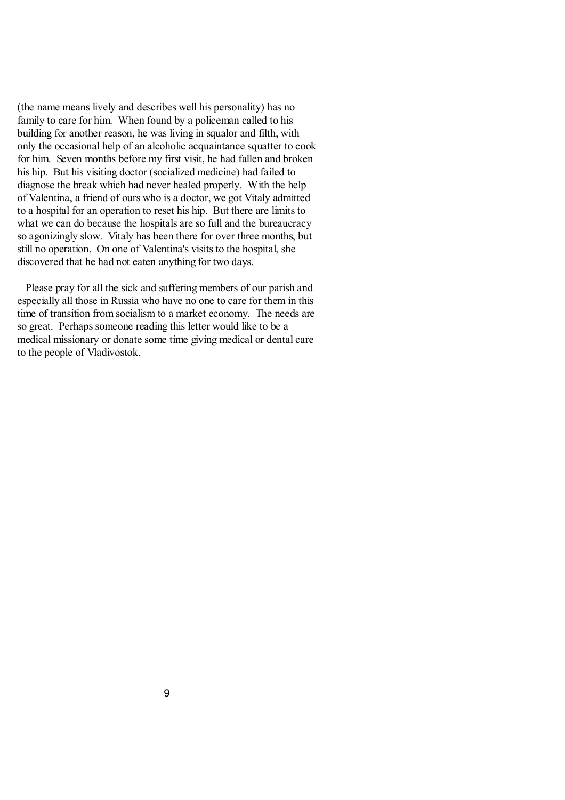(the name means lively and describes well his personality) has no family to care for him. When found by a policeman called to his building for another reason, he was living in squalor and filth, with only the occasional help of an alcoholic acquaintance squatter to cook for him. Seven months before my first visit, he had fallen and broken his hip. But his visiting doctor (socialized medicine) had failed to diagnose the break which had never healed properly. With the help of Valentina, a friend of ours who is a doctor, we got Vitaly admitted to a hospital for an operation to reset his hip. But there are limits to what we can do because the hospitals are so full and the bureaucracy so agonizingly slow. Vitaly has been there for over three months, but still no operation. On one of Valentina's visits to the hospital, she discovered that he had not eaten anything for two days.

 Please pray for all the sick and suffering members of our parish and especially all those in Russia who have no one to care for them in this time of transition from socialism to a market economy. The needs are so great. Perhaps someone reading this letter would like to be a medical missionary or donate some time giving medical or dental care to the people of Vladivostok.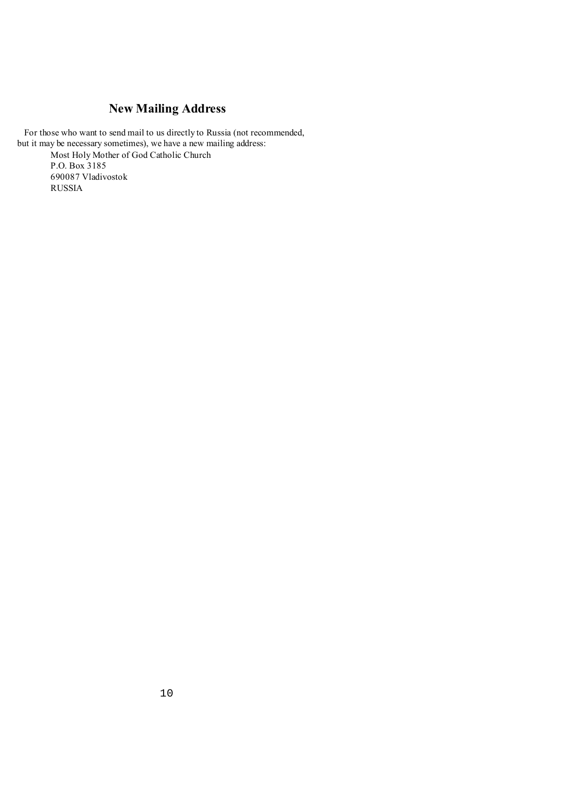## **New Mailing Address**

 For those who want to send mail to us directly to Russia (not recommended, but it may be necessary sometimes), we have a new mailing address: Most Holy Mother of God Catholic Church P.O. Box 3185

690087 Vladivostok RUSSIA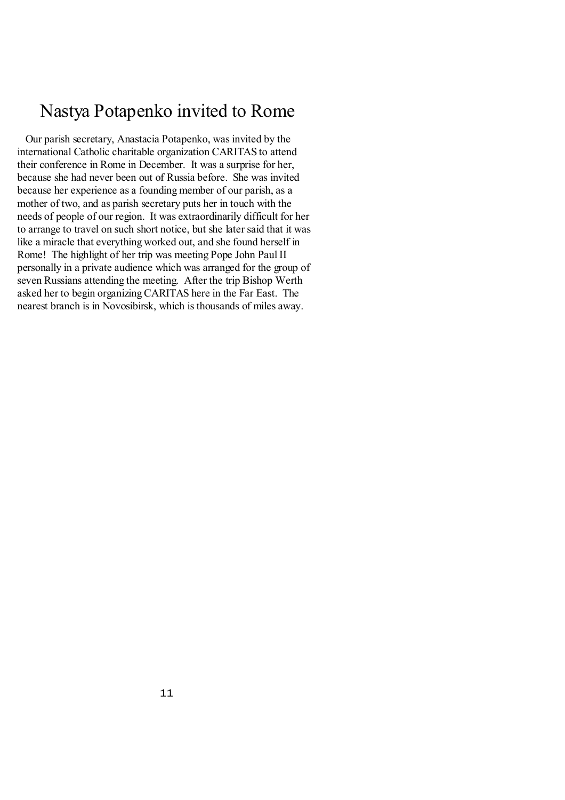# Nastya Potapenko invited to Rome

 Our parish secretary, Anastacia Potapenko, wasinvited by the international Catholic charitable organization CARITAS to attend their conference in Rome in December. It was a surprise for her, because she had never been out of Russia before. She was invited because her experience as a founding member of our parish, as a mother of two, and as parish secretary puts her in touch with the needs of people of our region. It was extraordinarily difficult for her to arrange to travel on such short notice, but she later said that it was like a miracle that everything worked out, and she found herself in Rome! The highlight of her trip was meeting Pope John Paul II personally in a private audience which was arranged for the group of seven Russians attending the meeting. After the trip Bishop Werth asked her to begin organizing CARITAS here in the Far East. The nearest branch is in Novosibirsk, which isthousands of miles away.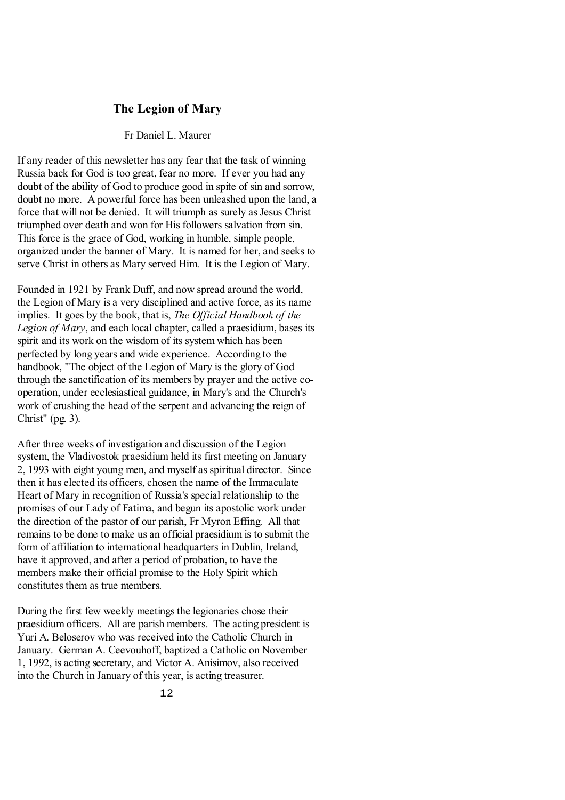## **The Legion of Mary**

## Fr Daniel L. Maurer

If any reader of this newsletter has any fear that the task of winning Russia back for God is too great, fear no more. If ever you had any doubt of the ability of God to produce good in spite of sin and sorrow, doubt no more. A powerful force has been unleashed upon the land, a force that will not be denied. It will triumph as surely as Jesus Christ triumphed over death and won for His followers salvation from sin. This force is the grace of God, working in humble, simple people, organized under the banner of Mary. It is named for her, and seeks to serve Christ in others as Mary served Him. It is the Legion of Mary.

Founded in 1921 by Frank Duff, and now spread around the world, the Legion of Mary is a very disciplined and active force, as its name implies. It goes by the book, that is, *The Official Handbook of the Legion of Mary*, and each local chapter, called a praesidium, bases its spirit and its work on the wisdom of its system which has been perfected by long years and wide experience. According to the handbook, "The object of the Legion of Mary is the glory of God through the sanctification of its members by prayer and the active cooperation, under ecclesiastical guidance, in Mary's and the Church's work of crushing the head of the serpent and advancing the reign of Christ" (pg. 3).

After three weeks of investigation and discussion of the Legion system, the Vladivostok praesidium held its first meeting on January 2, 1993 with eight young men, and myself asspiritual director. Since then it has elected its officers, chosen the name of the Immaculate Heart of Mary in recognition of Russia's special relationship to the promises of our Lady of Fatima, and begun its apostolic work under the direction of the pastor of our parish, Fr Myron Effing. All that remains to be done to make us an official praesidium is to submit the form of affiliation to international headquarters in Dublin, Ireland, have it approved, and after a period of probation, to have the members make their official promise to the Holy Spirit which constitutes them as true members.

During the first few weekly meetings the legionaries chose their praesidium officers. All are parish members. The acting president is Yuri A. Beloserov who was received into the Catholic Church in January. German A. Ceevouhoff, baptized a Catholic on November 1, 1992, is acting secretary, and Victor A. Anisimov, also received into the Church in January of this year, is acting treasurer.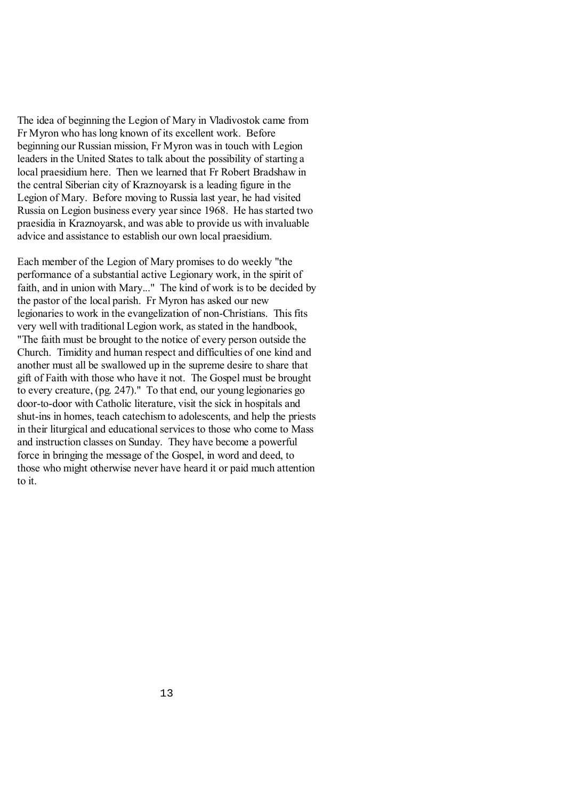The idea of beginning the Legion of Mary in Vladivostok came from Fr Myron who haslong known of its excellent work. Before beginning our Russian mission, Fr Myron was in touch with Legion leaders in the United States to talk about the possibility of starting a local praesidium here. Then we learned that Fr Robert Bradshaw in the central Siberian city of Kraznoyarsk is a leading figure in the Legion of Mary. Before moving to Russia last year, he had visited Russia on Legion business every year since 1968. He has started two praesidia in Kraznoyarsk, and was able to provide us with invaluable advice and assistance to establish our own local praesidium.

Each member of the Legion of Mary promises to do weekly "the performance of a substantial active Legionary work, in the spirit of faith, and in union with Mary..." The kind of work isto be decided by the pastor of the local parish. Fr Myron has asked our new legionaries to work in the evangelization of non-Christians. This fits very well with traditional Legion work, as stated in the handbook, "The faith must be brought to the notice of every person outside the Church. Timidity and human respect and difficulties of one kind and another must all be swallowed up in the supreme desire to share that gift of Faith with those who have it not. The Gospel must be brought to every creature, (pg. 247)." To that end, our young legionaries go door-to-door with Catholic literature, visit the sick in hospitals and shut-ins in homes, teach catechism to adolescents, and help the priests in their liturgical and educational services to those who come to Mass and instruction classes on Sunday. They have become a powerful force in bringing the message of the Gospel, in word and deed, to those who might otherwise never have heard it or paid much attention to it.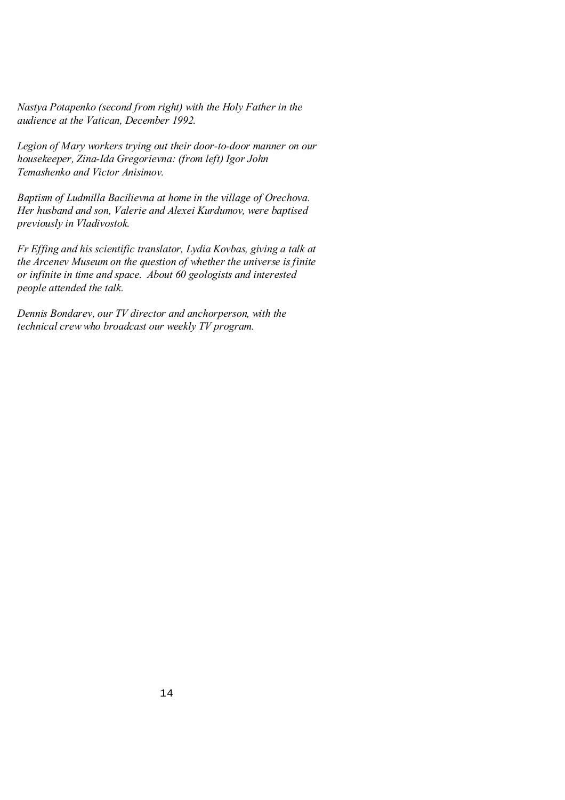*Nastya Potapenko (second from right) with the Holy Father in the audience at the Vatican, December 1992.* 

*Legion of Mary workers trying out their door-to-door manner on our housekeeper, Zina-Ida Gregorievna: (from left) Igor John Temashenko and Victor Anisimov.* 

*Baptism of Ludmilla Bacilievna at home in the village of Orechova. Her husband and son, Valerie and Alexei Kurdumov, were baptised previously in Vladivostok.*

*Fr Effing and hisscientific translator, Lydia Kovbas, giving a talk at the Arcenev Museum on the question of whether the universe isfinite or infinite in time and space. About 60 geologists and interested people attended the talk.*

*Dennis Bondarev, our TV director and anchorperson, with the technical crewwho broadcast our weekly TV program.*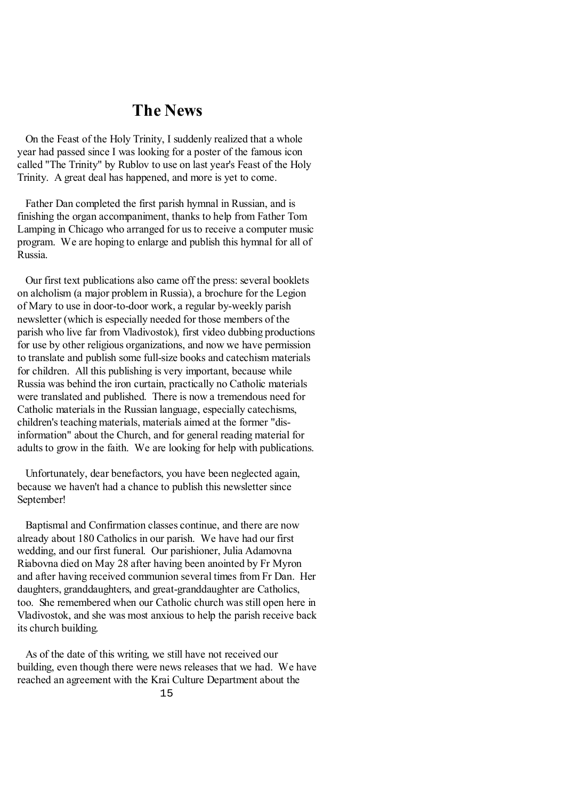## **The News**

 On the Feast of the Holy Trinity, I suddenly realized that a whole year had passed since I was looking for a poster of the famous icon called "The Trinity" by Rublov to use on last year's Feast of the Holy Trinity. A great deal has happened, and more is yet to come.

 Father Dan completed the first parish hymnal in Russian, and is finishing the organ accompaniment, thanks to help from Father Tom Lamping in Chicago who arranged for usto receive a computer music program. We are hoping to enlarge and publish this hymnal for all of Russia.

 Our first text publications also came off the press: several booklets on alcholism (a major problem in Russia), a brochure for the Legion of Mary to use in door-to-door work, a regular by-weekly parish newsletter (which is especially needed for those members of the parish who live far from Vladivostok), first video dubbing productions for use by other religious organizations, and now we have permission to translate and publish some full-size books and catechism materials for children. All this publishing is very important, because while Russia was behind the iron curtain, practically no Catholic materials were translated and published. There is now a tremendous need for Catholic materials in the Russian language, especially catechisms, children's teaching materials, materials aimed at the former "disinformation" about the Church, and for general reading material for adults to grow in the faith. We are looking for help with publications.

 Unfortunately, dear benefactors, you have been neglected again, because we haven't had a chance to publish this newsletter since September!

 Baptismal and Confirmation classes continue, and there are now already about 180 Catholics in our parish. We have had our first wedding, and our first funeral. Our parishioner, Julia Adamovna Riabovna died on May 28 after having been anointed by Fr Myron and after having received communion several times from Fr Dan. Her daughters, granddaughters, and great-granddaughter are Catholics, too. She remembered when our Catholic church wasstill open here in Vladivostok, and she was most anxious to help the parish receive back its church building.

 As of the date of this writing, we still have not received our building, even though there were news releases that we had. We have reached an agreement with the Krai Culture Department about the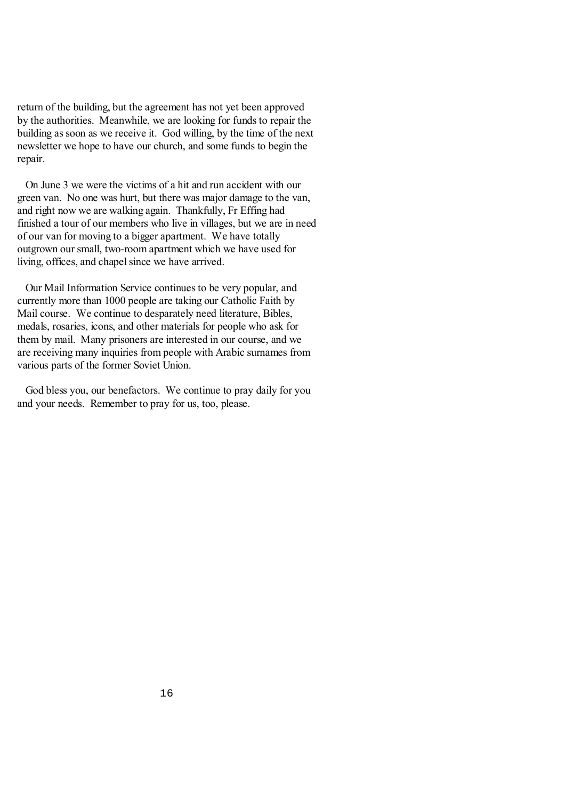return of the building, but the agreement has not yet been approved by the authorities. Meanwhile, we are looking for funds to repair the building as soon as we receive it. God willing, by the time of the next newsletter we hope to have our church, and some funds to begin the repair.

 On June 3 we were the victims of a hit and run accident with our green van. No one was hurt, but there was major damage to the van, and right now we are walking again. Thankfully, Fr Effing had finished a tour of our members who live in villages, but we are in need of our van for moving to a bigger apartment. We have totally outgrown our small, two-room apartment which we have used for living, offices, and chapelsince we have arrived.

 Our Mail Information Service continuesto be very popular, and currently more than 1000 people are taking our Catholic Faith by Mail course. We continue to desparately need literature, Bibles, medals, rosaries, icons, and other materials for people who ask for them by mail. Many prisoners are interested in our course, and we are receiving many inquiries from people with Arabic surnames from various parts of the former Soviet Union.

 God bless you, our benefactors. We continue to pray daily for you and your needs. Remember to pray for us, too, please.